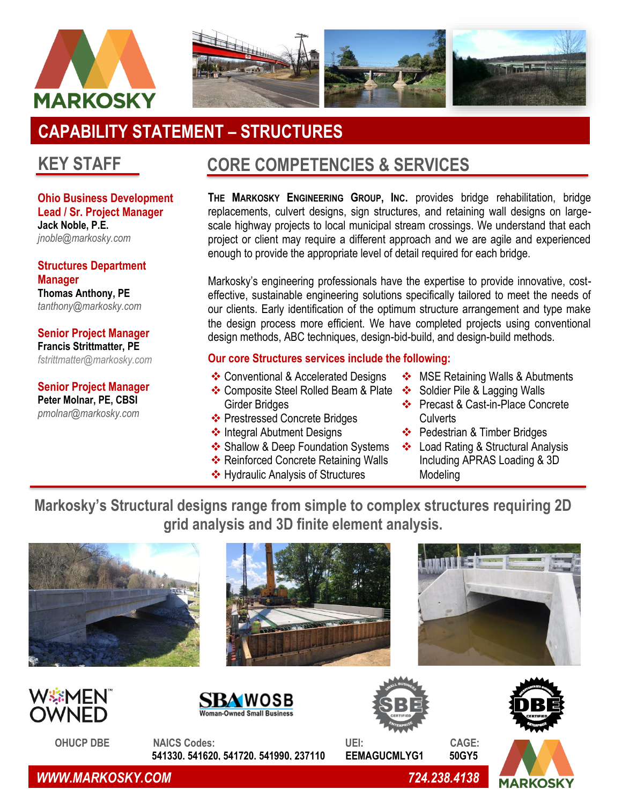



# **CAPABILITY STATEMENT – STRUCTURES**

# **KEY STAFF**

**Ohio Business Development Lead / Sr. Project Manager Jack Noble, P.E.** *[jnoble@markosky.com](mailto:jnoble@markosky.com)*

**Structures Department Manager Thomas Anthony, PE** *tanthony@markosky.com*

**Senior Project Manager Francis Strittmatter, PE** *[fstrittmatter@markosky.com](mailto:fstrittmatter@markosky.com)*

**Senior Project Manager Peter Molnar, PE, CBSI** *pmolnar@markosky.com*

# **CORE COMPETENCIES & SERVICES**

**THE MARKOSKY ENGINEERING GROUP, INC.** provides bridge rehabilitation, bridge replacements, culvert designs, sign structures, and retaining wall designs on largescale highway projects to local municipal stream crossings. We understand that each project or client may require a different approach and we are agile and experienced enough to provide the appropriate level of detail required for each bridge.

Markosky's engineering professionals have the expertise to provide innovative, costeffective, sustainable engineering solutions specifically tailored to meet the needs of our clients. Early identification of the optimum structure arrangement and type make the design process more efficient. We have completed projects using conventional design methods, ABC techniques, design-bid-build, and design-build methods.

### **Our core Structures services include the following:**

- ❖ Conventional & Accelerated Designs
- ❖ Composite Steel Rolled Beam & Plate Girder Bridges
- ❖ Prestressed Concrete Bridges
- ❖ Integral Abutment Designs
- ❖ Shallow & Deep Foundation Systems
- ❖ Reinforced Concrete Retaining Walls
- ❖ Hydraulic Analysis of Structures
- ❖ MSE Retaining Walls & Abutments
- ❖ Soldier Pile & Lagging Walls
- ❖ Precast & Cast-in-Place Concrete **Culverts**
- ❖ Pedestrian & Timber Bridges
- ❖ Load Rating & Structural Analysis Including APRAS Loading & 3D Modeling

**Markosky's Structural designs range from simple to complex structures requiring 2D grid analysis and 3D finite element analysis.**













 **OHUCP DBE NAICS Codes: UEI: CAGE: 541330. 541620, 541720. 541990, 237110 EEMAGUCMLYG1 50GY5** 

 *WWW.MARKOSKY.COM 724.238.4138*